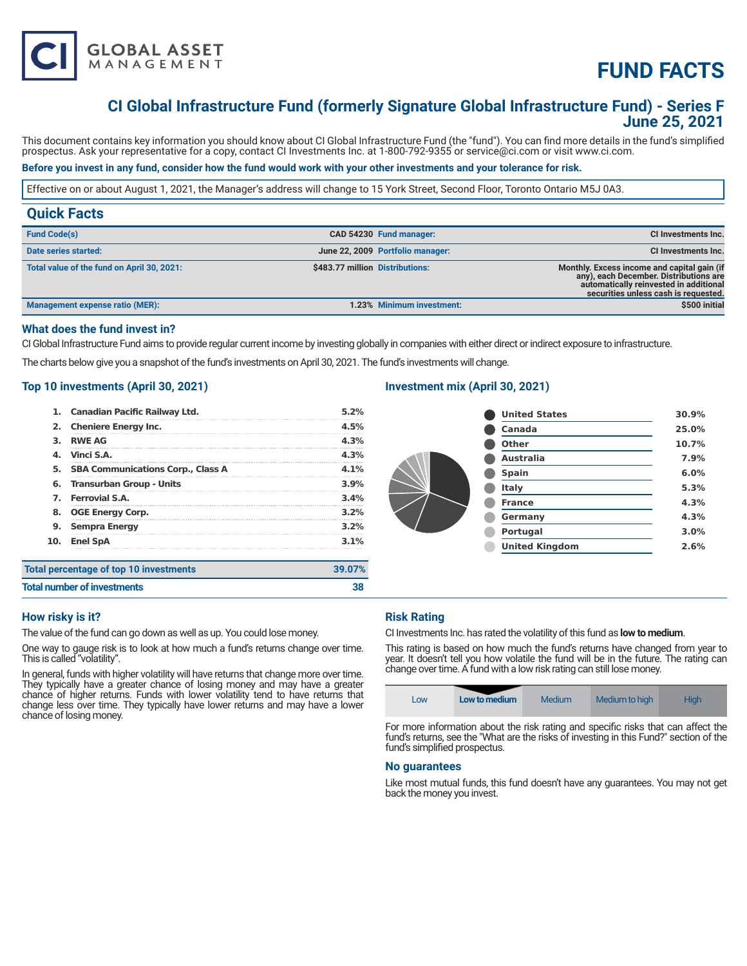

# **FUND FACTS**

# **CI Global Infrastructure Fund (formerly Signature Global Infrastructure Fund) - Series F June 25, 2021**

This document contains key information you should know about CI Global Infrastructure Fund (the "fund"). You can find more details in the fund's simplified prospectus. Ask your representative for a copy, contact CI Investments Inc. at 1-800-792-9355 or service@ci.com or visit www.ci.com.

# **Before you invest in any fund, consider how the fund would work with your other investments and your tolerance for risk.**

Effective on or about August 1, 2021, the Manager's address will change to 15 York Street, Second Floor, Toronto Ontario M5J 0A3.

|  | CI Investments Inc.                                                                                                                                                     |
|--|-------------------------------------------------------------------------------------------------------------------------------------------------------------------------|
|  | CI Investments Inc.                                                                                                                                                     |
|  | Monthly. Excess income and capital gain (if<br>any), each December. Distributions are<br>automatically reinvested in additional<br>securities unless cash is requested. |
|  | \$500 initial                                                                                                                                                           |
|  | CAD 54230 Fund manager:<br>June 22, 2009 Portfolio manager:<br>\$483.77 million Distributions:<br>1.23% Minimum investment:                                             |

# **What does the fund invest in?**

CI Global Infrastructure Fund aims to provide regular current income by investing globally in companies with either direct or indirect exposure to infrastructure.

The charts below give you a snapshot of the fund's investments on April 30, 2021. The fund's investments will change.

# **Top 10 investments (April 30, 2021)**

| 1.                                                   | <b>Canadian Pacific Railway Ltd.</b>     | 5.2%            |
|------------------------------------------------------|------------------------------------------|-----------------|
| 2.                                                   | <b>Cheniere Energy Inc.</b>              | 4.5%            |
| з.                                                   | <b>RWE AG</b>                            | 4.3%            |
| 4.                                                   | Vinci S.A.                               | 4.3%            |
| 5.                                                   | <b>SBA Communications Corp., Class A</b> | $4.1\%$         |
| 6.                                                   | <b>Transurban Group - Units</b>          | 3.9%            |
| 7.                                                   | <b>Ferrovial S.A.</b>                    | 3.4%            |
| 8.                                                   | <b>OGE Energy Corp.</b>                  | 3.2%            |
| 9.<br><b>Sempra Energy</b><br>10.<br><b>Enel SpA</b> |                                          | $3.2\%$<br>3.1% |
|                                                      |                                          |                 |
| <b>Total number of investments</b>                   |                                          |                 |

# **Investment mix (April 30, 2021)**

| <b>United States</b>  | 30.9% |
|-----------------------|-------|
| Canada                | 25.0% |
| Other                 | 10.7% |
| <b>Australia</b>      | 7.9%  |
| <b>Spain</b>          | 6.0%  |
| Italy                 | 5.3%  |
| <b>France</b>         | 4.3%  |
| Germany               | 4.3%  |
| <b>Portugal</b>       | 3.0%  |
| <b>United Kingdom</b> | 2.6%  |
|                       |       |

# **How risky is it?**

The value of the fund can go down as well as up. You could lose money.

One way to gauge risk is to look at how much a fund's returns change over time. This is called "volatility".

In general, funds with higher volatility will have returns that change more over time. They typically have a greater chance of losing money and may have a greater chance of higher returns. Funds with lower volatility tend to have returns that change less over time. They typically have lower returns and may have a lower chance of losing money.

# **Risk Rating**

CI Investments Inc. has rated the volatility of this fund as **low to medium**.

This rating is based on how much the fund's returns have changed from year to year. It doesn't tell you how volatile the fund will be in the future. The rating can change over time. A fund with a low risk rating can still lose money.

| LOW | Low to medium | Medium | Medium to high | <b>High</b> |
|-----|---------------|--------|----------------|-------------|
|-----|---------------|--------|----------------|-------------|

For more information about the risk rating and specific risks that can affect the fund's returns, see the "What are the risks of investing in this Fund?" section of the fund's simplified prospectus.

#### **No guarantees**

Like most mutual funds, this fund doesn't have any guarantees. You may not get back the money you invest.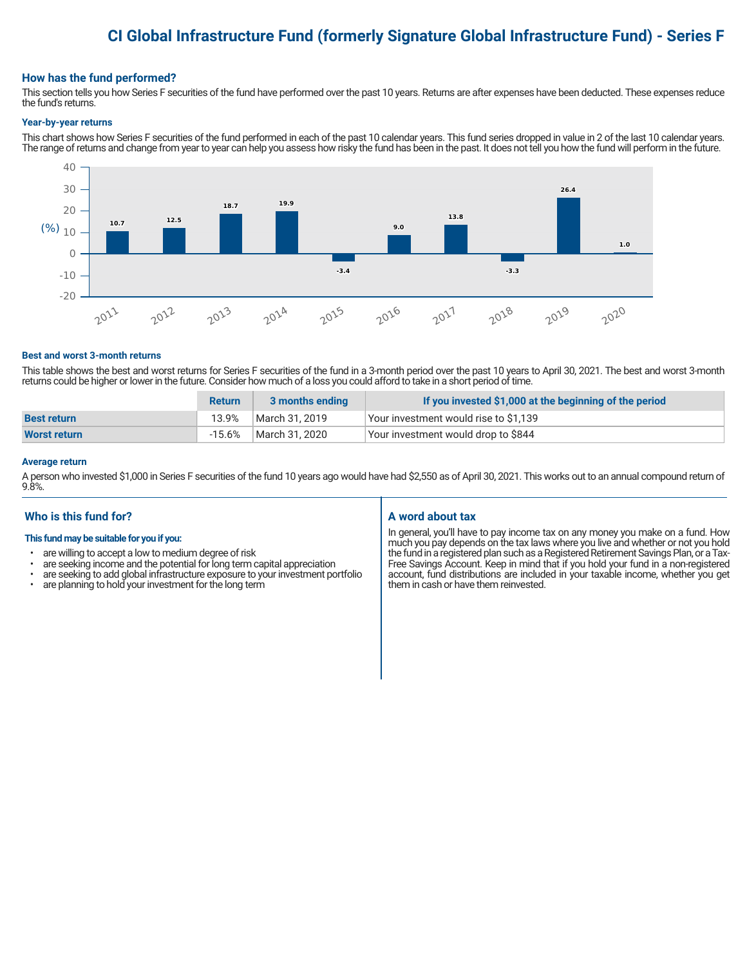# **CI Global Infrastructure Fund (formerly Signature Global Infrastructure Fund) - Series F**

#### **How has the fund performed?**

This section tells you how Series F securities of the fund have performed over the past 10 years. Returns are after expenses have been deducted. These expenses reduce the fund's returns.

#### **Year-by-year returns**

This chart shows how Series F securities of the fund performed in each of the past 10 calendar years. This fund series dropped in value in 2 of the last 10 calendar years. The range of returns and change from year to year can help you assess how risky the fund has been in the past. It does not tell you how the fund will perform in the future.



#### **Best and worst 3-month returns**

This table shows the best and worst returns for Series F securities of the fund in a 3-month period over the past 10 years to April 30, 2021. The best and worst 3-month returns could be higher or lower in the future. Consider how much of a loss you could afford to take in a short period of time.

|                     | <b>Return</b> | 3 months ending | If you invested \$1,000 at the beginning of the period |
|---------------------|---------------|-----------------|--------------------------------------------------------|
| <b>Best return</b>  | 13.9%         | March 31, 2019  | Your investment would rise to \$1,139                  |
| <b>Worst return</b> | $-15.6\%$     | March 31, 2020  | Your investment would drop to \$844                    |

#### **Average return**

A person who invested \$1,000 in Series F securities of the fund 10 years ago would have had \$2,550 as of April 30, 2021. This works out to an annual compound return of 9.8%.

# **Who is this fund for?**

#### **This fund may be suitable for you if you:**

- are willing to accept a low to medium degree of risk
- are seeking income and the potential for long term capital appreciation<br>• are seeking to add global infrastructure exposure to your investment po
- are seeking to add global infrastructure exposure to your investment portfolio<br>• are planning to hold your investment for the long term
- are planning to hold your investment for the long term

# **A word about tax**

In general, you'll have to pay income tax on any money you make on a fund. How much you pay depends on the tax laws where you live and whether or not you hold the fund in a registered plan such as a Registered Retirement Savings Plan, or a Tax-Free Savings Account. Keep in mind that if you hold your fund in a non-registered account, fund distributions are included in your taxable income, whether you get them in cash or have them reinvested.